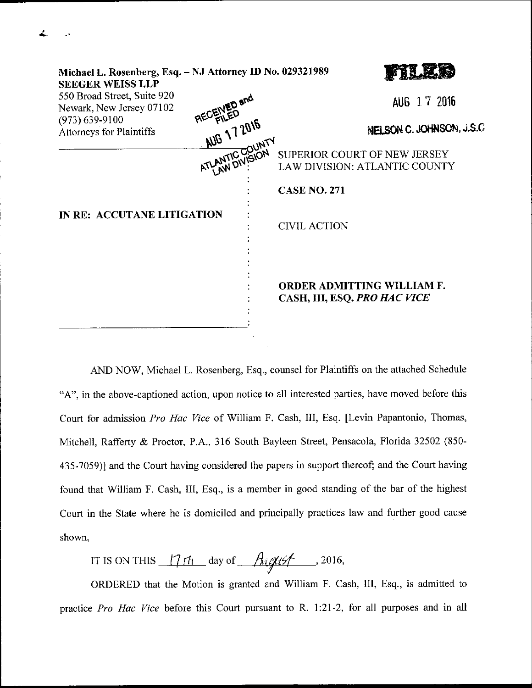| Michael L. Rosenberg, Esq. - NJ Attorney ID No. 029321989<br><b>SEEGER WEISS LLP</b> |                   |  |                                                                   |
|--------------------------------------------------------------------------------------|-------------------|--|-------------------------------------------------------------------|
| 550 Broad Street, Suite 920<br>Newark, New Jersey 07102                              |                   |  | AUG 17 2016                                                       |
| $(973) 639 - 9100$<br><b>Attorneys for Plaintiffs</b>                                | AUG 17 2016       |  | NELSON C. JOHNSON, J.S.C                                          |
|                                                                                      | <b>WITC COUNT</b> |  | SUPERIOR COURT OF NEW JERSEY<br>LAW DIVISION: ATLANTIC COUNTY     |
|                                                                                      |                   |  | <b>CASE NO. 271</b>                                               |
| IN RE: ACCUTANE LITIGATION                                                           |                   |  | <b>CIVIL ACTION</b>                                               |
|                                                                                      |                   |  | <b>ORDER ADMITTING WILLIAM F.</b><br>CASH, III, ESQ. PRO HAC VICE |

AND NOW, Michael L. Rosenberg, Esq., counsel for Plaintiffs on the attached Schedule "A", in the above-captioned action, upon notice to all interested parties, have moved before this Court for admission Pro Hac Vice of William F. Cash, III, Esq. [Levin Papantonio, Thomas, Mitchell, Rafferty & Proctor, P.A., 316 South Bayleen Street, Pensacola, Florida 32502 (850-435-7059)l and the Court having considered the papers in support thereof; and the Court having found that William F. Cash, III, Esq., is a member in good standing of the bar of the highest Court in the State where he is domiciled and principally practices law and further good cause shown,

IT IS ON THIS  $\frac{17 \text{ ft}}{4}$  day of  $\frac{\text{Augiff}}{4}$  , 2016,

ORDERED that the Motion is granted and William F. Cash, III, Esq., is admitted to ptactice Pro Hac Vice before this Court pursuant to R. 1:21-2, for all purposes and in all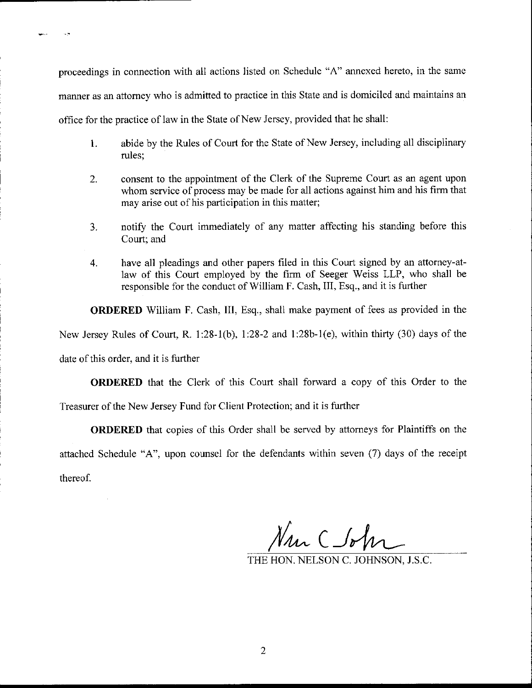proceedings in connection with all actions listed on Schedule "A" annexed hereto, in the same manner as an attomey who is admitted to practice in this State and is domiciled and maintains an office for the practice of law in the State of New Jersey, provided that he shall:

- 1. abide by the Rules of Court for the State of New Jersey, including all disciplinary rules;
- 2. consent to the appointment of the Clerk of the Supreme Court as an agent upon whom service of process may be made for all actions against him and his firm that may arise out of his participation in this matter;
- 3. notify the Court immediately of any matter affecting his standing before this Court; and
- 4. have all pleadings and other papers filed in this Court signed by an attorney-atlaw of this Court employed by the firm of Seeger Weiss LLP, who shall be responsible for the conduct of William F. Cash, III, Esq., and it is further

ORDERED William F. Cash, III, Esq., shall make payment of fees as provided in the New Jersey Rules of Court, R. 1:28-1(b), 1:28-2 and 1:28b-1(e), within thirty (30) days of the

date of this order, and it is further

ORDERED that the Clerk of this Court shall forward a copy of this Order to the Treasurer of the New Jersey Fund for Client Protection; and it is further

ORDERED that copies of this Order shall be served by attomeys for Plaintiffs on the attached Schedule "A", upon counsel for the defendants within seven (7) days of the receipt thereof.

 $\mathcal{N}_{4n}$   $\subset$   $\mathcal{N}_{n}$ 

THE HON. NELSON C. JOHNSON, J.S.C.